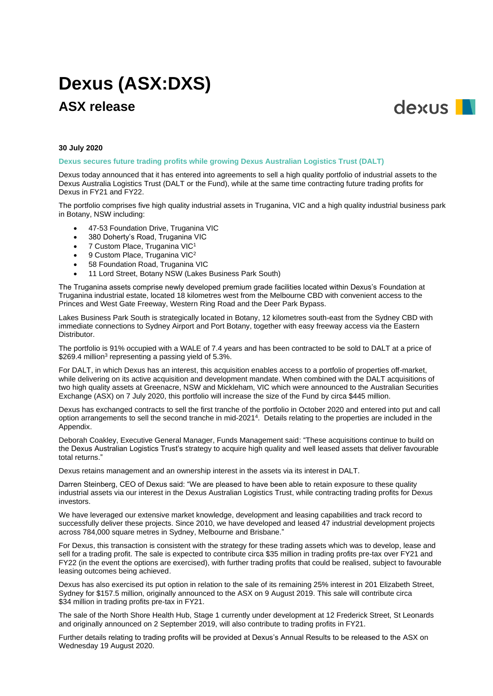# **Dexus (ASX:DXS)**

# **ASX release**



#### **30 July 2020**

**Dexus secures future trading profits while growing Dexus Australian Logistics Trust (DALT)**

Dexus today announced that it has entered into agreements to sell a high quality portfolio of industrial assets to the Dexus Australia Logistics Trust (DALT or the Fund), while at the same time contracting future trading profits for Dexus in FY21 and FY22.

The portfolio comprises five high quality industrial assets in Truganina, VIC and a high quality industrial business park in Botany, NSW including:

- 47-53 Foundation Drive, Truganina VIC
- 380 Doherty's Road, Truganina VIC
- 7 Custom Place, Truganina VIC<sup>1</sup>
- 9 Custom Place, Truganina VIC<sup>2</sup>
- 58 Foundation Road, Truganina VIC
- 11 Lord Street, Botany NSW (Lakes Business Park South)

The Truganina assets comprise newly developed premium grade facilities located within Dexus's Foundation at Truganina industrial estate, located 18 kilometres west from the Melbourne CBD with convenient access to the Princes and West Gate Freeway, Western Ring Road and the Deer Park Bypass.

Lakes Business Park South is strategically located in Botany, 12 kilometres south-east from the Sydney CBD with immediate connections to Sydney Airport and Port Botany, together with easy freeway access via the Eastern Distributor.

The portfolio is 91% occupied with a WALE of 7.4 years and has been contracted to be sold to DALT at a price of \$269.4 million<sup>3</sup> representing a passing yield of 5.3%.

For DALT, in which Dexus has an interest, this acquisition enables access to a portfolio of properties off-market, while delivering on its active acquisition and development mandate. When combined with the DALT acquisitions of two high quality assets at Greenacre, NSW and Mickleham, VIC which were announced to the Australian Securities Exchange (ASX) on 7 July 2020, this portfolio will increase the size of the Fund by circa \$445 million.

Dexus has exchanged contracts to sell the first tranche of the portfolio in October 2020 and entered into put and call option arrangements to sell the second tranche in mid-2021<sup>4</sup>. Details relating to the properties are included in the Appendix.

Deborah Coakley, Executive General Manager, Funds Management said: "These acquisitions continue to build on the Dexus Australian Logistics Trust's strategy to acquire high quality and well leased assets that deliver favourable total returns."

Dexus retains management and an ownership interest in the assets via its interest in DALT.

Darren Steinberg, CEO of Dexus said: "We are pleased to have been able to retain exposure to these quality industrial assets via our interest in the Dexus Australian Logistics Trust, while contracting trading profits for Dexus investors.

We have leveraged our extensive market knowledge, development and leasing capabilities and track record to successfully deliver these projects. Since 2010, we have developed and leased 47 industrial development projects across 784,000 square metres in Sydney, Melbourne and Brisbane."

For Dexus, this transaction is consistent with the strategy for these trading assets which was to develop, lease and sell for a trading profit. The sale is expected to contribute circa \$35 million in trading profits pre-tax over FY21 and FY22 (in the event the options are exercised), with further trading profits that could be realised, subject to favourable leasing outcomes being achieved.

Dexus has also exercised its put option in relation to the sale of its remaining 25% interest in 201 Elizabeth Street, Sydney for \$157.5 million, originally announced to the ASX on 9 August 2019. This sale will contribute circa \$34 million in trading profits pre-tax in FY21.

The sale of the North Shore Health Hub, Stage 1 currently under development at 12 Frederick Street, St Leonards and originally announced on 2 September 2019, will also contribute to trading profits in FY21.

Further details relating to trading profits will be provided at Dexus's Annual Results to be released to the ASX on Wednesday 19 August 2020.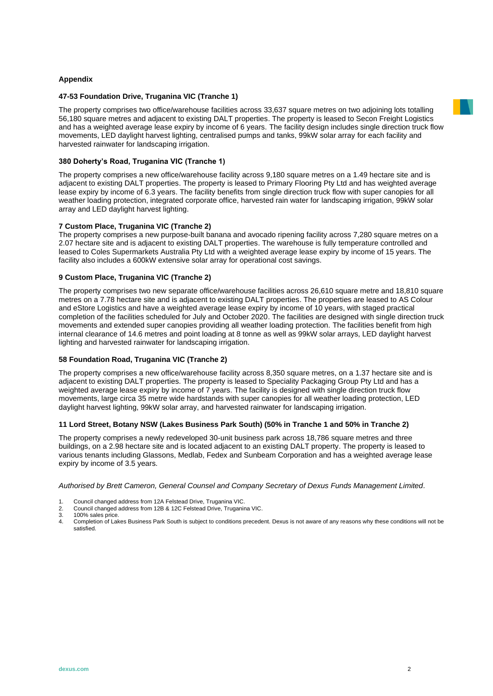### **Appendix**

#### **47-53 Foundation Drive, Truganina VIC (Tranche 1)**

The property comprises two office/warehouse facilities across 33,637 square metres on two adjoining lots totalling 56,180 square metres and adjacent to existing DALT properties. The property is leased to Secon Freight Logistics and has a weighted average lease expiry by income of 6 years. The facility design includes single direction truck flow movements, LED daylight harvest lighting, centralised pumps and tanks, 99kW solar array for each facility and harvested rainwater for landscaping irrigation.

## **380 Doherty's Road, Truganina VIC (Tranche 1)**

The property comprises a new office/warehouse facility across 9,180 square metres on a 1.49 hectare site and is adjacent to existing DALT properties. The property is leased to Primary Flooring Pty Ltd and has weighted average lease expiry by income of 6.3 years. The facility benefits from single direction truck flow with super canopies for all weather loading protection, integrated corporate office, harvested rain water for landscaping irrigation, 99kW solar array and LED daylight harvest lighting.

### **7 Custom Place, Truganina VIC (Tranche 2)**

The property comprises a new purpose-built banana and avocado ripening facility across 7,280 square metres on a 2.07 hectare site and is adjacent to existing DALT properties. The warehouse is fully temperature controlled and leased to Coles Supermarkets Australia Pty Ltd with a weighted average lease expiry by income of 15 years. The facility also includes a 600kW extensive solar array for operational cost savings.

#### **9 Custom Place, Truganina VIC (Tranche 2)**

The property comprises two new separate office/warehouse facilities across 26,610 square metre and 18,810 square metres on a 7.78 hectare site and is adjacent to existing DALT properties. The properties are leased to AS Colour and eStore Logistics and have a weighted average lease expiry by income of 10 years, with staged practical completion of the facilities scheduled for July and October 2020. The facilities are designed with single direction truck movements and extended super canopies providing all weather loading protection. The facilities benefit from high internal clearance of 14.6 metres and point loading at 8 tonne as well as 99kW solar arrays, LED daylight harvest lighting and harvested rainwater for landscaping irrigation.

#### **58 Foundation Road, Truganina VIC (Tranche 2)**

The property comprises a new office/warehouse facility across 8,350 square metres, on a 1.37 hectare site and is adjacent to existing DALT properties. The property is leased to Speciality Packaging Group Pty Ltd and has a weighted average lease expiry by income of 7 years. The facility is designed with single direction truck flow movements, large circa 35 metre wide hardstands with super canopies for all weather loading protection, LED daylight harvest lighting, 99kW solar array, and harvested rainwater for landscaping irrigation.

#### **11 Lord Street, Botany NSW (Lakes Business Park South) (50% in Tranche 1 and 50% in Tranche 2)**

The property comprises a newly redeveloped 30-unit business park across 18,786 square metres and three buildings, on a 2.98 hectare site and is located adjacent to an existing DALT property. The property is leased to various tenants including Glassons, Medlab, Fedex and Sunbeam Corporation and has a weighted average lease expiry by income of 3.5 years.

*Authorised by Brett Cameron, General Counsel and Company Secretary of Dexus Funds Management Limited.*

2. Council changed address from 12B & 12C Felstead Drive, Truganina VIC.

3. 100% sales price.<br>4. Completion of La

4. Completion of Lakes Business Park South is subject to conditions precedent. Dexus is not aware of any reasons why these conditions will not be satisfied.



<sup>1.</sup> Council changed address from 12A Felstead Drive, Truganina VIC.